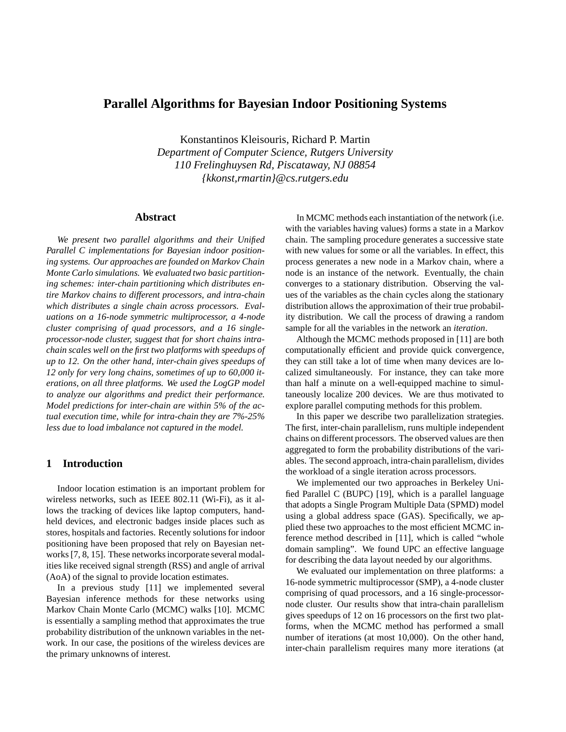# **Parallel Algorithms for Bayesian Indoor Positioning Systems**

Konstantinos Kleisouris, Richard P. Martin *Department of Computer Science, Rutgers University 110 Frelinghuysen Rd, Piscataway, NJ 08854 {kkonst,rmartin}@cs.rutgers.edu*

#### **Abstract**

*We present two parallel algorithms and their Unified Parallel C implementations for Bayesian indoor positioning systems. Our approaches are founded on Markov Chain Monte Carlo simulations. We evaluated two basic partitioning schemes: inter-chain partitioning which distributes entire Markov chains to different processors, and intra-chain which distributes a single chain across processors. Evaluations on a 16-node symmetric multiprocessor, a 4-node cluster comprising of quad processors, and a 16 singleprocessor-node cluster, suggest that for short chains intrachain scales well on the first two platforms with speedups of up to 12. On the other hand, inter-chain gives speedups of 12 only for very long chains, sometimes of up to 60,000 iterations, on all three platforms. We used the LogGP model to analyze our algorithms and predict their performance. Model predictions for inter-chain are within 5% of the actual execution time, while for intra-chain they are 7%-25% less due to load imbalance not captured in the model.*

#### **1 Introduction**

Indoor location estimation is an important problem for wireless networks, such as IEEE 802.11 (Wi-Fi), as it allows the tracking of devices like laptop computers, handheld devices, and electronic badges inside places such as stores, hospitals and factories. Recently solutions for indoor positioning have been proposed that rely on Bayesian networks [7, 8, 15]. These networks incorporate several modalities like received signal strength (RSS) and angle of arrival (AoA) of the signal to provide location estimates.

In a previous study [11] we implemented several Bayesian inference methods for these networks using Markov Chain Monte Carlo (MCMC) walks [10]. MCMC is essentially a sampling method that approximates the true probability distribution of the unknown variables in the network. In our case, the positions of the wireless devices are the primary unknowns of interest.

In MCMC methods each instantiation of the network (i.e. with the variables having values) forms a state in a Markov chain. The sampling procedure generates a successive state with new values for some or all the variables. In effect, this process generates a new node in a Markov chain, where a node is an instance of the network. Eventually, the chain converges to a stationary distribution. Observing the values of the variables as the chain cycles along the stationary distribution allows the approximation of their true probability distribution. We call the process of drawing a random sample for all the variables in the network an *iteration*.

Although the MCMC methods proposed in [11] are both computationally efficient and provide quick convergence, they can still take a lot of time when many devices are localized simultaneously. For instance, they can take more than half a minute on a well-equipped machine to simultaneously localize 200 devices. We are thus motivated to explore parallel computing methods for this problem.

In this paper we describe two parallelization strategies. The first, inter-chain parallelism, runs multiple independent chains on different processors. The observed values are then aggregated to form the probability distributions of the variables. The second approach, intra-chain parallelism, divides the workload of a single iteration across processors.

We implemented our two approaches in Berkeley Unified Parallel C (BUPC) [19], which is a parallel language that adopts a Single Program Multiple Data (SPMD) model using a global address space (GAS). Specifically, we applied these two approaches to the most efficient MCMC inference method described in [11], which is called "whole domain sampling". We found UPC an effective language for describing the data layout needed by our algorithms.

We evaluated our implementation on three platforms: a 16-node symmetric multiprocessor (SMP), a 4-node cluster comprising of quad processors, and a 16 single-processornode cluster. Our results show that intra-chain parallelism gives speedups of 12 on 16 processors on the first two platforms, when the MCMC method has performed a small number of iterations (at most 10,000). On the other hand, inter-chain parallelism requires many more iterations (at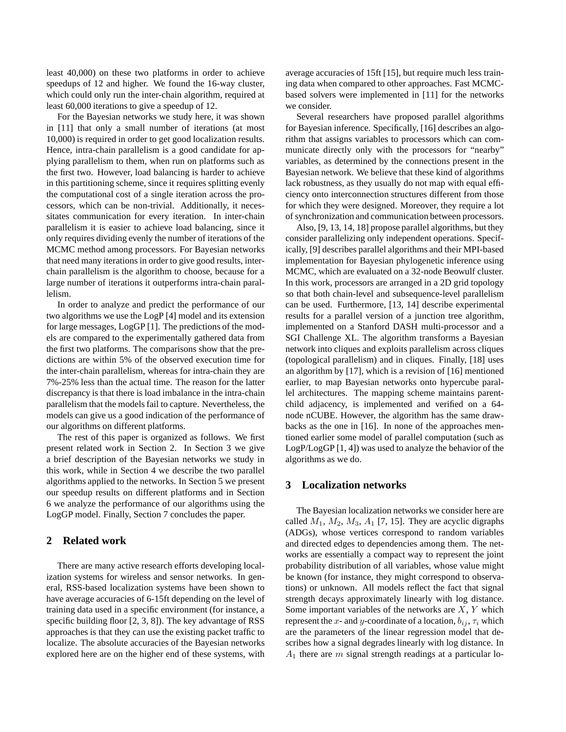least 40,000) on these two platforms in order to achieve speedups of 12 and higher. We found the 16-way cluster, which could only run the inter-chain algorithm, required at least 60,000 iterations to give a speedup of 12.

For the Bayesian networks we study here, it was shown in [11] that only a small number of iterations (at most 10,000) is required in order to get good localization results. Hence, intra-chain parallelism is a good candidate for applying parallelism to them, when run on platforms such as the first two. However, load balancing is harder to achieve in this partitioning scheme, since it requires splitting evenly the computational cost of a single iteration across the processors, which can be non-trivial. Additionally, it necessitates communication for every iteration. In inter-chain parallelism it is easier to achieve load balancing, since it only requires dividing evenly the number of iterations of the MCMC method among processors. For Bayesian networks that need many iterations in order to give good results, interchain parallelism is the algorithm to choose, because for a large number of iterations it outperforms intra-chain parallelism.

In order to analyze and predict the performance of our two algorithms we use the LogP [4] model and its extension for large messages, LogGP [1]. The predictions of the models are compared to the experimentally gathered data from the first two platforms. The comparisons show that the predictions are within 5% of the observed execution time for the inter-chain parallelism, whereas for intra-chain they are 7%-25% less than the actual time. The reason for the latter discrepancy is that there is load imbalance in the intra-chain parallelism that the models fail to capture. Nevertheless, the models can give us a good indication of the performance of our algorithms on different platforms.

The rest of this paper is organized as follows. We first present related work in Section 2. In Section 3 we give a brief description of the Bayesian networks we study in this work, while in Section 4 we describe the two parallel algorithms applied to the networks. In Section 5 we present our speedup results on different platforms and in Section 6 we analyze the performance of our algorithms using the LogGP model. Finally, Section 7 concludes the paper.

### **2 Related work**

There are many active research efforts developing localization systems for wireless and sensor networks. In general, RSS-based localization systems have been shown to have average accuracies of 6-15ft depending on the level of training data used in a specific environment (for instance, a specific building floor [2, 3, 8]). The key advantage of RSS approaches is that they can use the existing packet traffic to localize. The absolute accuracies of the Bayesian networks explored here are on the higher end of these systems, with

average accuracies of 15ft [15], but require much less training data when compared to other approaches. Fast MCMCbased solvers were implemented in [11] for the networks we consider.

Several researchers have proposed parallel algorithms for Bayesian inference. Specifically, [16] describes an algorithm that assigns variables to processors which can communicate directly only with the processors for "nearby" variables, as determined by the connections present in the Bayesian network. We believe that these kind of algorithms lack robustness, as they usually do not map with equal efficiency onto interconnection structures different from those for which they were designed. Moreover, they require a lot of synchronization and communication between processors.

Also, [9, 13, 14, 18] propose parallel algorithms, but they consider parallelizing only independent operations. Specifically, [9] describes parallel algorithms and their MPI-based implementation for Bayesian phylogenetic inference using MCMC, which are evaluated on a 32-node Beowulf cluster. In this work, processors are arranged in a 2D grid topology so that both chain-level and subsequence-level parallelism can be used. Furthermore, [13, 14] describe experimental results for a parallel version of a junction tree algorithm, implemented on a Stanford DASH multi-processor and a SGI Challenge XL. The algorithm transforms a Bayesian network into cliques and exploits parallelism across cliques (topological parallelism) and in cliques. Finally, [18] uses an algorithm by [17], which is a revision of [16] mentioned earlier, to map Bayesian networks onto hypercube parallel architectures. The mapping scheme maintains parentchild adjacency, is implemented and verified on a 64 node nCUBE. However, the algorithm has the same drawbacks as the one in [16]. In none of the approaches mentioned earlier some model of parallel computation (such as LogP/LogGP [1, 4]) was used to analyze the behavior of the algorithms as we do.

## **3 Localization networks**

The Bayesian localization networks we consider here are called  $M_1$ ,  $M_2$ ,  $M_3$ ,  $A_1$  [7, 15]. They are acyclic digraphs (ADGs), whose vertices correspond to random variables and directed edges to dependencies among them. The networks are essentially a compact way to represent the joint probability distribution of all variables, whose value might be known (for instance, they might correspond to observations) or unknown. All models reflect the fact that signal strength decays approximately linearly with log distance. Some important variables of the networks are  $X, Y$  which represent the x- and y-coordinate of a location,  $b_{ij}$ ,  $\tau_i$  which are the parameters of the linear regression model that describes how a signal degrades linearly with log distance. In  $A_1$  there are m signal strength readings at a particular lo-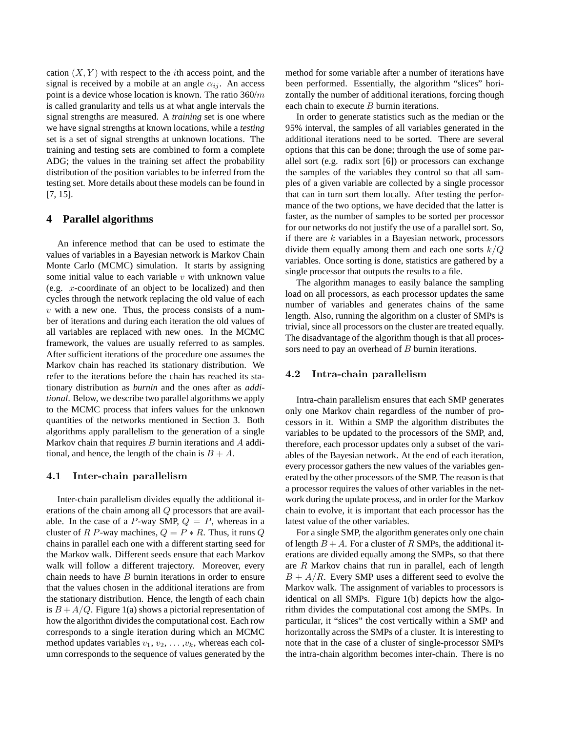cation  $(X, Y)$  with respect to the *i*th access point, and the signal is received by a mobile at an angle  $\alpha_{ij}$ . An access point is a device whose location is known. The ratio  $360/m$ is called granularity and tells us at what angle intervals the signal strengths are measured. A *training* set is one where we have signal strengths at known locations, while a *testing* set is a set of signal strengths at unknown locations. The training and testing sets are combined to form a complete ADG; the values in the training set affect the probability distribution of the position variables to be inferred from the testing set. More details about these models can be found in [7, 15].

### **4 Parallel algorithms**

An inference method that can be used to estimate the values of variables in a Bayesian network is Markov Chain Monte Carlo (MCMC) simulation. It starts by assigning some initial value to each variable  $v$  with unknown value (e.g. x-coordinate of an object to be localized) and then cycles through the network replacing the old value of each  $v$  with a new one. Thus, the process consists of a number of iterations and during each iteration the old values of all variables are replaced with new ones. In the MCMC framework, the values are usually referred to as samples. After sufficient iterations of the procedure one assumes the Markov chain has reached its stationary distribution. We refer to the iterations before the chain has reached its stationary distribution as *burnin* and the ones after as *additional*. Below, we describe two parallel algorithms we apply to the MCMC process that infers values for the unknown quantities of the networks mentioned in Section 3. Both algorithms apply parallelism to the generation of a single Markov chain that requires  $B$  burnin iterations and  $A$  additional, and hence, the length of the chain is  $B + A$ .

#### 4.1 Inter-chain parallelism

Inter-chain parallelism divides equally the additional iterations of the chain among all Q processors that are available. In the case of a P-way SMP,  $Q = P$ , whereas in a cluster of R P-way machines,  $Q = P * R$ . Thus, it runs Q chains in parallel each one with a different starting seed for the Markov walk. Different seeds ensure that each Markov walk will follow a different trajectory. Moreover, every chain needs to have B burnin iterations in order to ensure that the values chosen in the additional iterations are from the stationary distribution. Hence, the length of each chain is  $B + A/Q$ . Figure 1(a) shows a pictorial representation of how the algorithm divides the computational cost. Each row corresponds to a single iteration during which an MCMC method updates variables  $v_1, v_2, \ldots, v_k$ , whereas each column corresponds to the sequence of values generated by the method for some variable after a number of iterations have been performed. Essentially, the algorithm "slices" horizontally the number of additional iterations, forcing though each chain to execute  $B$  burnin iterations.

In order to generate statistics such as the median or the 95% interval, the samples of all variables generated in the additional iterations need to be sorted. There are several options that this can be done; through the use of some parallel sort (e.g. radix sort [6]) or processors can exchange the samples of the variables they control so that all samples of a given variable are collected by a single processor that can in turn sort them locally. After testing the performance of the two options, we have decided that the latter is faster, as the number of samples to be sorted per processor for our networks do not justify the use of a parallel sort. So, if there are  $k$  variables in a Bayesian network, processors divide them equally among them and each one sorts  $k/Q$ variables. Once sorting is done, statistics are gathered by a single processor that outputs the results to a file.

The algorithm manages to easily balance the sampling load on all processors, as each processor updates the same number of variables and generates chains of the same length. Also, running the algorithm on a cluster of SMPs is trivial, since all processors on the cluster are treated equally. The disadvantage of the algorithm though is that all processors need to pay an overhead of B burnin iterations.

#### 4.2 Intra-chain parallelism

Intra-chain parallelism ensures that each SMP generates only one Markov chain regardless of the number of processors in it. Within a SMP the algorithm distributes the variables to be updated to the processors of the SMP, and, therefore, each processor updates only a subset of the variables of the Bayesian network. At the end of each iteration, every processor gathers the new values of the variables generated by the other processors of the SMP. The reason is that a processor requires the values of other variables in the network during the update process, and in order for the Markov chain to evolve, it is important that each processor has the latest value of the other variables.

For a single SMP, the algorithm generates only one chain of length  $B + A$ . For a cluster of R SMPs, the additional iterations are divided equally among the SMPs, so that there are R Markov chains that run in parallel, each of length  $B + A/R$ . Every SMP uses a different seed to evolve the Markov walk. The assignment of variables to processors is identical on all SMPs. Figure 1(b) depicts how the algorithm divides the computational cost among the SMPs. In particular, it "slices" the cost vertically within a SMP and horizontally across the SMPs of a cluster. It is interesting to note that in the case of a cluster of single-processor SMPs the intra-chain algorithm becomes inter-chain. There is no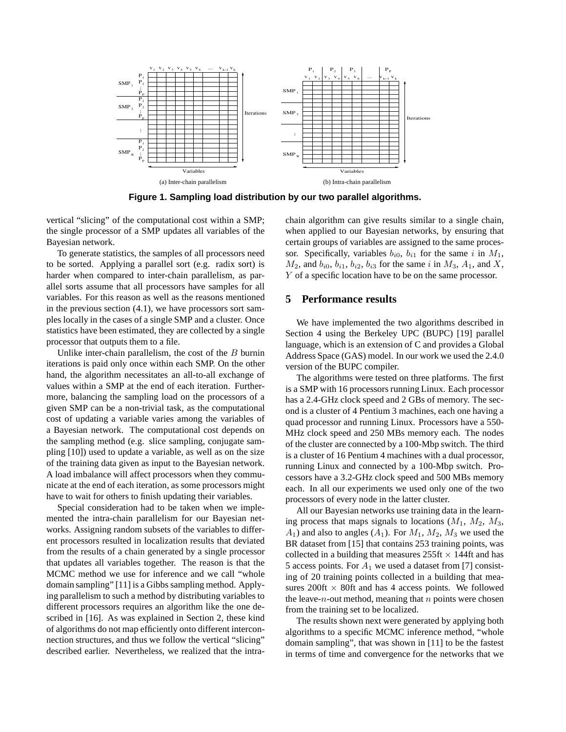

**Figure 1. Sampling load distribution by our two parallel algorithms.**

vertical "slicing" of the computational cost within a SMP; the single processor of a SMP updates all variables of the Bayesian network.

To generate statistics, the samples of all processors need to be sorted. Applying a parallel sort (e.g. radix sort) is harder when compared to inter-chain parallelism, as parallel sorts assume that all processors have samples for all variables. For this reason as well as the reasons mentioned in the previous section  $(4.1)$ , we have processors sort samples locally in the cases of a single SMP and a cluster. Once statistics have been estimated, they are collected by a single processor that outputs them to a file.

Unlike inter-chain parallelism, the cost of the  $B$  burnin iterations is paid only once within each SMP. On the other hand, the algorithm necessitates an all-to-all exchange of values within a SMP at the end of each iteration. Furthermore, balancing the sampling load on the processors of a given SMP can be a non-trivial task, as the computational cost of updating a variable varies among the variables of a Bayesian network. The computational cost depends on the sampling method (e.g. slice sampling, conjugate sampling [10]) used to update a variable, as well as on the size of the training data given as input to the Bayesian network. A load imbalance will affect processors when they communicate at the end of each iteration, as some processors might have to wait for others to finish updating their variables.

Special consideration had to be taken when we implemented the intra-chain parallelism for our Bayesian networks. Assigning random subsets of the variables to different processors resulted in localization results that deviated from the results of a chain generated by a single processor that updates all variables together. The reason is that the MCMC method we use for inference and we call "whole domain sampling" [11] is a Gibbs sampling method. Applying parallelism to such a method by distributing variables to different processors requires an algorithm like the one described in [16]. As was explained in Section 2, these kind of algorithms do not map efficiently onto different interconnection structures, and thus we follow the vertical "slicing" described earlier. Nevertheless, we realized that the intrachain algorithm can give results similar to a single chain, when applied to our Bayesian networks, by ensuring that certain groups of variables are assigned to the same processor. Specifically, variables  $b_{i0}$ ,  $b_{i1}$  for the same i in  $M_1$ ,  $M_2$ , and  $b_{i0}$ ,  $b_{i1}$ ,  $b_{i2}$ ,  $b_{i3}$  for the same i in  $M_3$ ,  $A_1$ , and X, Y of a specific location have to be on the same processor.

### **5 Performance results**

We have implemented the two algorithms described in Section 4 using the Berkeley UPC (BUPC) [19] parallel language, which is an extension of C and provides a Global Address Space (GAS) model. In our work we used the 2.4.0 version of the BUPC compiler.

The algorithms were tested on three platforms. The first is a SMP with 16 processors running Linux. Each processor has a 2.4-GHz clock speed and 2 GBs of memory. The second is a cluster of 4 Pentium 3 machines, each one having a quad processor and running Linux. Processors have a 550- MHz clock speed and 250 MBs memory each. The nodes of the cluster are connected by a 100-Mbp switch. The third is a cluster of 16 Pentium 4 machines with a dual processor, running Linux and connected by a 100-Mbp switch. Processors have a 3.2-GHz clock speed and 500 MBs memory each. In all our experiments we used only one of the two processors of every node in the latter cluster.

All our Bayesian networks use training data in the learning process that maps signals to locations  $(M_1, M_2, M_3,$  $A_1$ ) and also to angles  $(A_1)$ . For  $M_1$ ,  $M_2$ ,  $M_3$  we used the BR dataset from [15] that contains 253 training points, was collected in a building that measures  $255 \text{ft} \times 144 \text{ft}$  and has 5 access points. For  $A_1$  we used a dataset from [7] consisting of 20 training points collected in a building that measures 200ft  $\times$  80ft and has 4 access points. We followed the leave- $n$ -out method, meaning that  $n$  points were chosen from the training set to be localized.

The results shown next were generated by applying both algorithms to a specific MCMC inference method, "whole domain sampling", that was shown in [11] to be the fastest in terms of time and convergence for the networks that we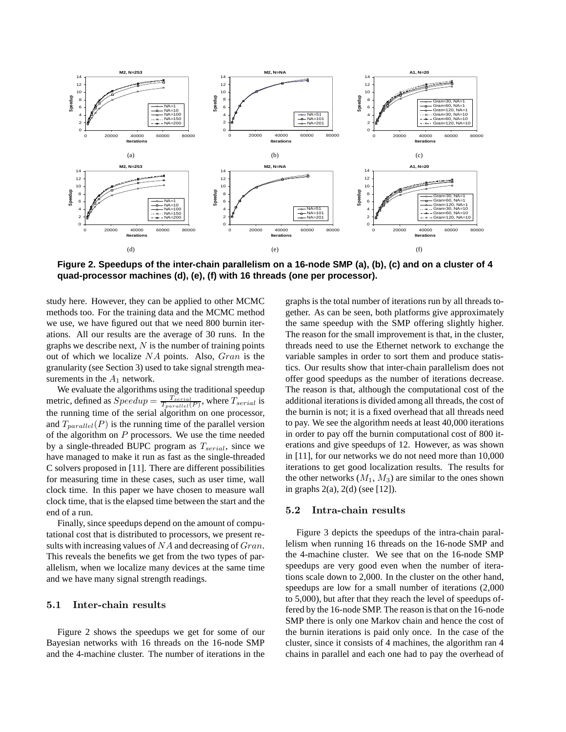

**Figure 2. Speedups of the inter-chain parallelism on a 16-node SMP (a), (b), (c) and on a cluster of 4 quad-processor machines (d), (e), (f) with 16 threads (one per processor).**

study here. However, they can be applied to other MCMC methods too. For the training data and the MCMC method we use, we have figured out that we need 800 burnin iterations. All our results are the average of 30 runs. In the graphs we describe next,  $N$  is the number of training points out of which we localize NA points. Also, Gran is the granularity (see Section 3) used to take signal strength measurements in the  $A_1$  network.

We evaluate the algorithms using the traditional speedup metric, defined as  $Speedup = \frac{T_{serial}}{T_{parallel}(P)}$ , where  $T_{serial}$  is the running time of the serial algorithm on one processor, and  $T_{parallel}(P)$  is the running time of the parallel version of the algorithm on  $P$  processors. We use the time needed by a single-threaded BUPC program as  $T_{serial}$ , since we have managed to make it run as fast as the single-threaded C solvers proposed in [11]. There are different possibilities for measuring time in these cases, such as user time, wall clock time. In this paper we have chosen to measure wall clock time, that is the elapsed time between the start and the end of a run.

Finally, since speedups depend on the amount of computational cost that is distributed to processors, we present results with increasing values of  $NA$  and decreasing of  $Gran$ . This reveals the benefits we get from the two types of parallelism, when we localize many devices at the same time and we have many signal strength readings.

# 5.1 Inter-chain results

Figure 2 shows the speedups we get for some of our Bayesian networks with 16 threads on the 16-node SMP and the 4-machine cluster. The number of iterations in the graphs is the total number of iterations run by all threads together. As can be seen, both platforms give approximately the same speedup with the SMP offering slightly higher. The reason for the small improvement is that, in the cluster, threads need to use the Ethernet network to exchange the variable samples in order to sort them and produce statistics. Our results show that inter-chain parallelism does not offer good speedups as the number of iterations decrease. The reason is that, although the computational cost of the additional iterations is divided among all threads, the cost of the burnin is not; it is a fixed overhead that all threads need to pay. We see the algorithm needs at least 40,000 iterations in order to pay off the burnin computational cost of 800 iterations and give speedups of 12. However, as was shown in [11], for our networks we do not need more than 10,000 iterations to get good localization results. The results for the other networks  $(M_1, M_3)$  are similar to the ones shown in graphs  $2(a)$ ,  $2(d)$  (see [12]).

#### 5.2 Intra-chain results

Figure 3 depicts the speedups of the intra-chain parallelism when running 16 threads on the 16-node SMP and the 4-machine cluster. We see that on the 16-node SMP speedups are very good even when the number of iterations scale down to 2,000. In the cluster on the other hand, speedups are low for a small number of iterations (2,000 to 5,000), but after that they reach the level of speedups offered by the 16-node SMP. The reason is that on the 16-node SMP there is only one Markov chain and hence the cost of the burnin iterations is paid only once. In the case of the cluster, since it consists of 4 machines, the algorithm ran 4 chains in parallel and each one had to pay the overhead of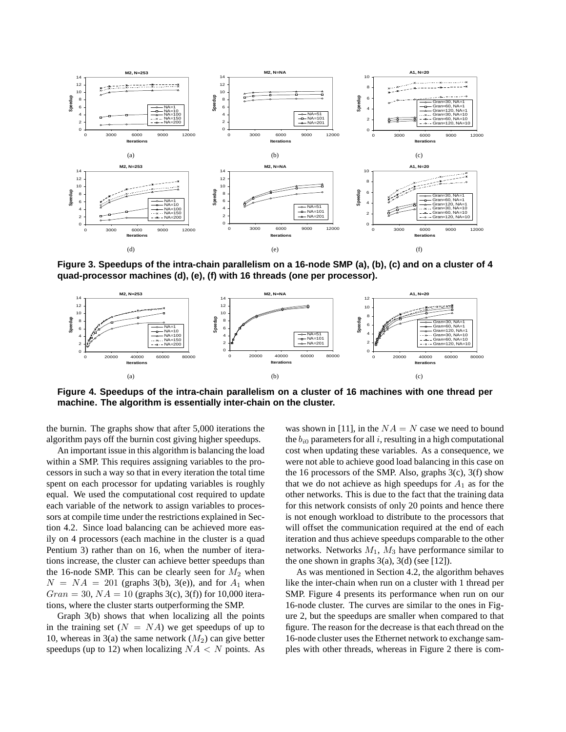

**Figure 3. Speedups of the intra-chain parallelism on a 16-node SMP (a), (b), (c) and on a cluster of 4 quad-processor machines (d), (e), (f) with 16 threads (one per processor).**



**Figure 4. Speedups of the intra-chain parallelism on a cluster of 16 machines with one thread per machine. The algorithm is essentially inter-chain on the cluster.**

the burnin. The graphs show that after 5,000 iterations the algorithm pays off the burnin cost giving higher speedups.

An important issue in this algorithm is balancing the load within a SMP. This requires assigning variables to the processors in such a way so that in every iteration the total time spent on each processor for updating variables is roughly equal. We used the computational cost required to update each variable of the network to assign variables to processors at compile time under the restrictions explained in Section 4.2. Since load balancing can be achieved more easily on 4 processors (each machine in the cluster is a quad Pentium 3) rather than on 16, when the number of iterations increase, the cluster can achieve better speedups than the 16-node SMP. This can be clearly seen for  $M_2$  when  $N = NA = 201$  (graphs 3(b), 3(e)), and for  $A_1$  when  $Gran = 30, NA = 10$  (graphs 3(c), 3(f)) for 10,000 iterations, where the cluster starts outperforming the SMP.

Graph 3(b) shows that when localizing all the points in the training set  $(N = NA)$  we get speedups of up to 10, whereas in 3(a) the same network  $(M_2)$  can give better speedups (up to 12) when localizing  $NA < N$  points. As

was shown in [11], in the  $NA = N$  case we need to bound the  $b_{i0}$  parameters for all i, resulting in a high computational cost when updating these variables. As a consequence, we were not able to achieve good load balancing in this case on the 16 processors of the SMP. Also, graphs 3(c), 3(f) show that we do not achieve as high speedups for  $A_1$  as for the other networks. This is due to the fact that the training data for this network consists of only 20 points and hence there is not enough workload to distribute to the processors that will offset the communication required at the end of each iteration and thus achieve speedups comparable to the other networks. Networks  $M_1$ ,  $M_3$  have performance similar to the one shown in graphs  $3(a)$ ,  $3(d)$  (see [12]).

As was mentioned in Section 4.2, the algorithm behaves like the inter-chain when run on a cluster with 1 thread per SMP. Figure 4 presents its performance when run on our 16-node cluster. The curves are similar to the ones in Figure 2, but the speedups are smaller when compared to that figure. The reason for the decrease is that each thread on the 16-node cluster uses the Ethernet network to exchange samples with other threads, whereas in Figure 2 there is com-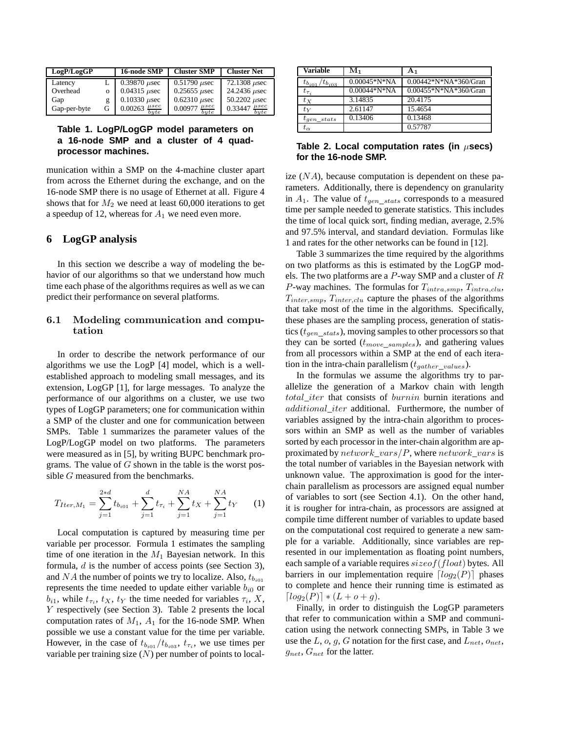| LogP/LogGP   |   | 16-node SMP                     | <b>Cluster SMP</b>              | <b>Cluster Net</b>                |
|--------------|---|---------------------------------|---------------------------------|-----------------------------------|
| Latency      |   | $0.39870 \mu$ sec               | $0.51790 \,\mu$ sec             | $72.1308 \mu$ sec                 |
| Overhead     | 0 | $0.04315 \ \mu$ sec             | $0.25655 \mu$ sec               | 24.2436 <i>usec</i>               |
| Gap          |   | $0.10330 \mu$ sec               | $0.62310 \mu$ sec               | 50.2202 $\mu$ sec                 |
| Gap-per-byte | G | $rac{\mu sec}{byte}$<br>0.00263 | $rac{\mu sec}{byte}$<br>0.00977 | $\mu$ sec<br>0.33447<br>$_{bute}$ |

### **Table 1. LogP/LogGP model parameters on a 16-node SMP and a cluster of 4 quadprocessor machines.**

munication within a SMP on the 4-machine cluster apart from across the Ethernet during the exchange, and on the 16-node SMP there is no usage of Ethernet at all. Figure 4 shows that for  $M_2$  we need at least 60,000 iterations to get a speedup of 12, whereas for  $A_1$  we need even more.

# **6 LogGP analysis**

In this section we describe a way of modeling the behavior of our algorithms so that we understand how much time each phase of the algorithms requires as well as we can predict their performance on several platforms.

### 6.1 Modeling communication and computation

In order to describe the network performance of our algorithms we use the LogP [4] model, which is a wellestablished approach to modeling small messages, and its extension, LogGP [1], for large messages. To analyze the performance of our algorithms on a cluster, we use two types of LogGP parameters; one for communication within a SMP of the cluster and one for communication between SMPs. Table 1 summarizes the parameter values of the LogP/LogGP model on two platforms. The parameters were measured as in [5], by writing BUPC benchmark programs. The value of  $G$  shown in the table is the worst possible G measured from the benchmarks.

$$
T_{Iter,M_1} = \sum_{j=1}^{2*d} t_{b_{i01}} + \sum_{j=1}^{d} t_{\tau_i} + \sum_{j=1}^{NA} t_X + \sum_{j=1}^{NA} t_Y
$$
 (1)

Local computation is captured by measuring time per variable per processor. Formula 1 estimates the sampling time of one iteration in the  $M_1$  Bayesian network. In this formula, d is the number of access points (see Section 3), and NA the number of points we try to localize. Also,  $t_{b_{i01}}$ represents the time needed to update either variable  $b_{i0}$  or  $b_{i1}$ , while  $t_{\tau_i}$ ,  $t_X$ ,  $t_Y$  the time needed for variables  $\tau_i$ , X, Y respectively (see Section 3). Table 2 presents the local computation rates of  $M_1$ ,  $A_1$  for the 16-node SMP. When possible we use a constant value for the time per variable. However, in the case of  $t_{b_{i01}} / t_{b_{i03}}$ ,  $t_{\tau_i}$ , we use times per variable per training size  $(N)$  per number of points to local-

| <b>Variable</b>                | M۱             | A <sub>1</sub>        |
|--------------------------------|----------------|-----------------------|
| $t_{b_{i01}}$<br>$t_{b_{i03}}$ | $0.00045*N*NA$ | 0.00442*N*NA*360/Gran |
| $t_{\tau_i}$                   | $0.00044*N*NA$ | 0.00455*N*NA*360/Gran |
| $t_X$                          | 3.14835        | 20.4175               |
| $t_{\rm V}$                    | 2.61147        | 15.4654               |
| $t_{qen\_stats}$               | 0.13406        | 0.13468               |
| $t_{\alpha}$                   |                | 0.57787               |

### **Table 2. Local computation rates (in** µ**secs) for the 16-node SMP.**

ize  $(NA)$ , because computation is dependent on these parameters. Additionally, there is dependency on granularity in  $A_1$ . The value of  $t_{gen\_stats}$  corresponds to a measured time per sample needed to generate statistics. This includes the time of local quick sort, finding median, average, 2.5% and 97.5% interval, and standard deviation. Formulas like 1 and rates for the other networks can be found in [12].

Table 3 summarizes the time required by the algorithms on two platforms as this is estimated by the LogGP models. The two platforms are a  $P$ -way SMP and a cluster of  $R$ P-way machines. The formulas for  $T_{intra, smp}$ ,  $T_{intra, clu}$ ,  $T_{inter, smp}$ ,  $T_{inter, clu}$  capture the phases of the algorithms that take most of the time in the algorithms. Specifically, these phases are the sampling process, generation of statistics ( $t_{gen-state}$ ), moving samples to other processors so that they can be sorted  $(t_{move\_samples})$ , and gathering values from all processors within a SMP at the end of each iteration in the intra-chain parallelism  $(t_{gather\ values}).$ 

In the formulas we assume the algorithms try to parallelize the generation of a Markov chain with length total iter that consists of burnin burnin iterations and additional iter additional. Furthermore, the number of variables assigned by the intra-chain algorithm to processors within an SMP as well as the number of variables sorted by each processor in the inter-chain algorithm are approximated by  $network\_vars/P$ , where  $network\_vars$  is the total number of variables in the Bayesian network with unknown value. The approximation is good for the interchain parallelism as processors are assigned equal number of variables to sort (see Section 4.1). On the other hand, it is rougher for intra-chain, as processors are assigned at compile time different number of variables to update based on the computational cost required to generate a new sample for a variable. Additionally, since variables are represented in our implementation as floating point numbers, each sample of a variable requires  $sizeof(float)$  bytes. All barriers in our implementation require  $\lceil log_2(P) \rceil$  phases to complete and hence their running time is estimated as  $[log_2(P)] * (L + o + q).$ 

Finally, in order to distinguish the LogGP parameters that refer to communication within a SMP and communication using the network connecting SMPs, in Table 3 we use the L, o, g, G notation for the first case, and  $L_{net}$ ,  $o_{net}$ ,  $g_{net}$ ,  $G_{net}$  for the latter.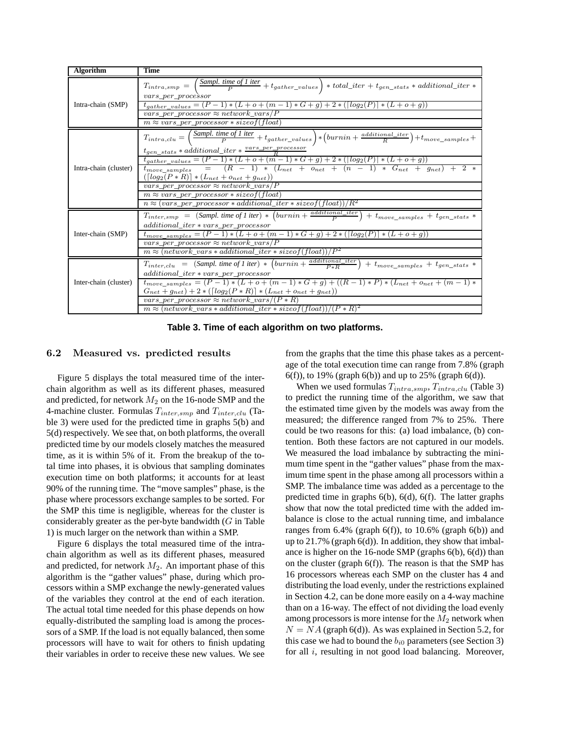| <b>Algorithm</b>      | <b>Time</b>                                                                                                                                                                                                                                                                                                                                                                                      |  |  |  |  |  |
|-----------------------|--------------------------------------------------------------------------------------------------------------------------------------------------------------------------------------------------------------------------------------------------------------------------------------------------------------------------------------------------------------------------------------------------|--|--|--|--|--|
| Intra-chain (SMP)     | $T_{intra,smp} \ = \ \left(\frac{\emph{Sample time of 1 iter}}{\emph{P}} + t_{gather\_values}\right) \ * \ total\_iter + t_{gen\_stats} \ * \ additional\_iter \ * \$<br>$vars\_per\_proce\$ {s}or<br>$t_{gather\_values} = (P-1) * (L + o + (m-1) * G + g) + 2 * ([log_2(P)] * (L + o + g))$<br>vars per processor $\approx$ network vars/P<br>$m \approx vars\_per\_processor * sizeof(float)$ |  |  |  |  |  |
|                       |                                                                                                                                                                                                                                                                                                                                                                                                  |  |  |  |  |  |
| Intra-chain (cluster) | $\overline{T_{intra}}_{,clu}=\left(\frac{\hbox{\tt Sample of 1 iter}}{\hbox{\tt P}}+t_{gather\_values}\right)*\left(\hbox{\tt burning +\frac{additional\_iter}}{\hbox{\tt R}}\right)+t_{move\_samples}+$<br>$t_{gen\_stats}*additional\_iter*\frac{vars\_per\_processon}{B}$                                                                                                                     |  |  |  |  |  |
|                       | $t_{gather\_values} = (P-1) * (L+o + (m-1) * G + g) + 2 * ([log_2(P)] * (L+o+g))$                                                                                                                                                                                                                                                                                                                |  |  |  |  |  |
|                       | $t_{move\_samples}$ = $(R - 1) * (L_{net} + o_{net} + (n - 1) * G_{net} + g_{net}) + 2 *$                                                                                                                                                                                                                                                                                                        |  |  |  |  |  |
|                       | $([log_2(P * R)] * (L_{net} + o_{net} + g_{net}))$                                                                                                                                                                                                                                                                                                                                               |  |  |  |  |  |
|                       | vars_per_processor $\approx$ network_vars/P                                                                                                                                                                                                                                                                                                                                                      |  |  |  |  |  |
|                       | $m \approx vars\_per\_processor * sizeof(float)$                                                                                                                                                                                                                                                                                                                                                 |  |  |  |  |  |
|                       | $n \approx (vars\_per\_processor * additional\_iter * sizeof(float))/R^2$                                                                                                                                                                                                                                                                                                                        |  |  |  |  |  |
| Inter-chain (SMP)     | $T_{inter, smp} = (Sampl. time of 1 iter) * (burnin + \frac{additional\_iter}{P}) + t_{move\_samples} + t_{gen\_stats} *$<br>$additional\_iter * vars\_per\_processor$                                                                                                                                                                                                                           |  |  |  |  |  |
|                       | $t_{move\_samples} = (P - 1) * (L + o + (m - 1) * G + g) + 2 * ([log_2(P)] * (L + o + g))$                                                                                                                                                                                                                                                                                                       |  |  |  |  |  |
|                       | vars_per_processor $\approx$ network_vars/P                                                                                                                                                                                                                                                                                                                                                      |  |  |  |  |  |
|                       | $m \approx (network\_vars * additional\_iter * sizeof(float))/P^2$                                                                                                                                                                                                                                                                                                                               |  |  |  |  |  |
| Inter-chain (cluster) | $T_{inter, clu} = (Sampl. time of I iter) * (burnin + \frac{additional\_iter}{P * R}) + t_{move\_samples} + t_{gen\_stats} *$                                                                                                                                                                                                                                                                    |  |  |  |  |  |
|                       | $additional\_iter * vars\_per\_processor$                                                                                                                                                                                                                                                                                                                                                        |  |  |  |  |  |
|                       | $t_{move\_samples} = (P - 1) * (L + o + (m - 1) * G + g) + ((R - 1) * P) * (L_{net} + o_{net} + (m - 1) *$                                                                                                                                                                                                                                                                                       |  |  |  |  |  |
|                       | $G_{net} + g_{net} + 2 * ([log_2(P * R)] * (L_{net} + o_{net} + g_{net}))$                                                                                                                                                                                                                                                                                                                       |  |  |  |  |  |
|                       | vars_per_processor $\approx$ network_vars/(P $*$ R)                                                                                                                                                                                                                                                                                                                                              |  |  |  |  |  |
|                       | $m \approx (network\_vars * additional\_iter * sizeof(\overline{float}))/(P * R)^2$                                                                                                                                                                                                                                                                                                              |  |  |  |  |  |

**Table 3. Time of each algorithm on two platforms.**

#### 6.2 Measured vs. predicted results

Figure 5 displays the total measured time of the interchain algorithm as well as its different phases, measured and predicted, for network  $M_2$  on the 16-node SMP and the 4-machine cluster. Formulas  $T_{inter, smp}$  and  $T_{inter, clu}$  (Table 3) were used for the predicted time in graphs 5(b) and 5(d) respectively. We see that, on both platforms, the overall predicted time by our models closely matches the measured time, as it is within 5% of it. From the breakup of the total time into phases, it is obvious that sampling dominates execution time on both platforms; it accounts for at least 90% of the running time. The "move samples" phase, is the phase where processors exchange samples to be sorted. For the SMP this time is negligible, whereas for the cluster is considerably greater as the per-byte bandwidth  $(G$  in Table 1) is much larger on the network than within a SMP.

Figure 6 displays the total measured time of the intrachain algorithm as well as its different phases, measured and predicted, for network  $M_2$ . An important phase of this algorithm is the "gather values" phase, during which processors within a SMP exchange the newly-generated values of the variables they control at the end of each iteration. The actual total time needed for this phase depends on how equally-distributed the sampling load is among the processors of a SMP. If the load is not equally balanced, then some processors will have to wait for others to finish updating their variables in order to receive these new values. We see from the graphs that the time this phase takes as a percentage of the total execution time can range from 7.8% (graph 6(f)), to 19% (graph 6(b)) and up to 25% (graph 6(d)).

When we used formulas  $T_{intra,smp}$ ,  $T_{intra,clu}$  (Table 3) to predict the running time of the algorithm, we saw that the estimated time given by the models was away from the measured; the difference ranged from 7% to 25%. There could be two reasons for this: (a) load imbalance, (b) contention. Both these factors are not captured in our models. We measured the load imbalance by subtracting the minimum time spent in the "gather values" phase from the maximum time spent in the phase among all processors within a SMP. The imbalance time was added as a percentage to the predicted time in graphs 6(b), 6(d), 6(f). The latter graphs show that now the total predicted time with the added imbalance is close to the actual running time, and imbalance ranges from  $6.4\%$  (graph  $6(f)$ ), to  $10.6\%$  (graph  $6(b)$ ) and up to  $21.7\%$  (graph  $6(d)$ ). In addition, they show that imbalance is higher on the 16-node SMP (graphs 6(b), 6(d)) than on the cluster (graph 6(f)). The reason is that the SMP has 16 processors whereas each SMP on the cluster has 4 and distributing the load evenly, under the restrictions explained in Section 4.2, can be done more easily on a 4-way machine than on a 16-way. The effect of not dividing the load evenly among processors is more intense for the  $M_2$  network when  $N = NA$  (graph 6(d)). As was explained in Section 5.2, for this case we had to bound the  $b_{i0}$  parameters (see Section 3) for all i, resulting in not good load balancing. Moreover,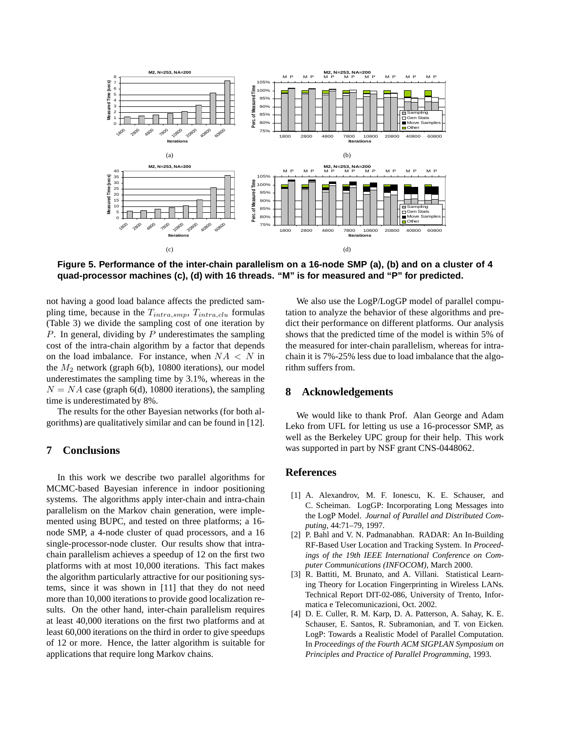

**Figure 5. Performance of the inter-chain parallelism on a 16-node SMP (a), (b) and on a cluster of 4 quad-processor machines (c), (d) with 16 threads. "M" is for measured and "P" for predicted.**

not having a good load balance affects the predicted sampling time, because in the  $T_{intra, smp}$ ,  $T_{intra, clu}$  formulas (Table 3) we divide the sampling cost of one iteration by  $P$ . In general, dividing by  $P$  underestimates the sampling cost of the intra-chain algorithm by a factor that depends on the load imbalance. For instance, when  $NA < N$  in the  $M_2$  network (graph 6(b), 10800 iterations), our model underestimates the sampling time by 3.1%, whereas in the  $N = NA$  case (graph 6(d), 10800 iterations), the sampling time is underestimated by 8%.

The results for the other Bayesian networks (for both algorithms) are qualitatively similar and can be found in [12].

### **7 Conclusions**

In this work we describe two parallel algorithms for MCMC-based Bayesian inference in indoor positioning systems. The algorithms apply inter-chain and intra-chain parallelism on the Markov chain generation, were implemented using BUPC, and tested on three platforms; a 16 node SMP, a 4-node cluster of quad processors, and a 16 single-processor-node cluster. Our results show that intrachain parallelism achieves a speedup of 12 on the first two platforms with at most 10,000 iterations. This fact makes the algorithm particularly attractive for our positioning systems, since it was shown in [11] that they do not need more than 10,000 iterations to provide good localization results. On the other hand, inter-chain parallelism requires at least 40,000 iterations on the first two platforms and at least 60,000 iterations on the third in order to give speedups of 12 or more. Hence, the latter algorithm is suitable for applications that require long Markov chains.

We also use the LogP/LogGP model of parallel computation to analyze the behavior of these algorithms and predict their performance on different platforms. Our analysis shows that the predicted time of the model is within 5% of the measured for inter-chain parallelism, whereas for intrachain it is 7%-25% less due to load imbalance that the algorithm suffers from.

# **8 Acknowledgements**

We would like to thank Prof. Alan George and Adam Leko from UFL for letting us use a 16-processor SMP, as well as the Berkeley UPC group for their help. This work was supported in part by NSF grant CNS-0448062.

#### **References**

- [1] A. Alexandrov, M. F. Ionescu, K. E. Schauser, and C. Scheiman. LogGP: Incorporating Long Messages into the LogP Model. *Journal of Parallel and Distributed Computing*, 44:71–79, 1997.
- [2] P. Bahl and V. N. Padmanabhan. RADAR: An In-Building RF-Based User Location and Tracking System. In *Proceedings of the 19th IEEE International Conference on Computer Communications (INFOCOM)*, March 2000.
- [3] R. Battiti, M. Brunato, and A. Villani. Statistical Learning Theory for Location Fingerprinting in Wireless LANs. Technical Report DIT-02-086, University of Trento, Informatica e Telecomunicazioni, Oct. 2002.
- [4] D. E. Culler, R. M. Karp, D. A. Patterson, A. Sahay, K. E. Schauser, E. Santos, R. Subramonian, and T. von Eicken. LogP: Towards a Realistic Model of Parallel Computation. In *Proceedings of the Fourth ACM SIGPLAN Symposium on Principles and Practice of Parallel Programming*, 1993.